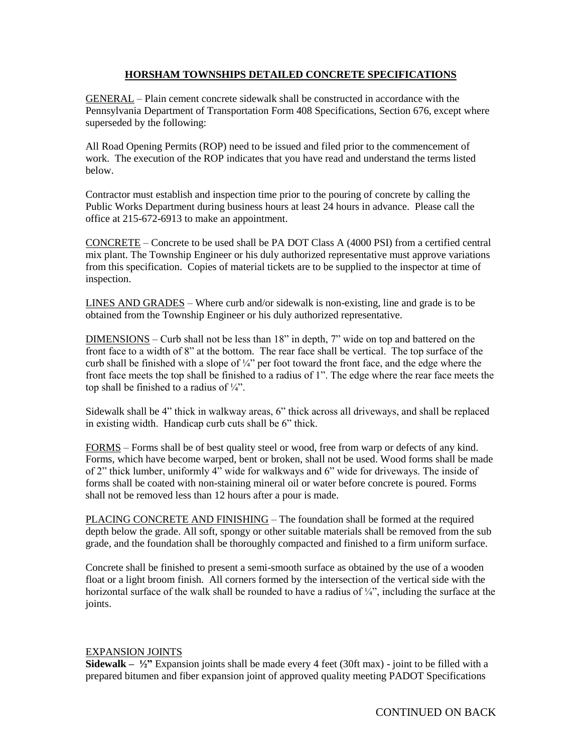## **HORSHAM TOWNSHIPS DETAILED CONCRETE SPECIFICATIONS**

GENERAL – Plain cement concrete sidewalk shall be constructed in accordance with the Pennsylvania Department of Transportation Form 408 Specifications, Section 676, except where superseded by the following:

All Road Opening Permits (ROP) need to be issued and filed prior to the commencement of work. The execution of the ROP indicates that you have read and understand the terms listed below.

Contractor must establish and inspection time prior to the pouring of concrete by calling the Public Works Department during business hours at least 24 hours in advance. Please call the office at 215-672-6913 to make an appointment.

CONCRETE – Concrete to be used shall be PA DOT Class A (4000 PSI) from a certified central mix plant. The Township Engineer or his duly authorized representative must approve variations from this specification. Copies of material tickets are to be supplied to the inspector at time of inspection.

LINES AND GRADES – Where curb and/or sidewalk is non-existing, line and grade is to be obtained from the Township Engineer or his duly authorized representative.

DIMENSIONS – Curb shall not be less than 18" in depth, 7" wide on top and battered on the front face to a width of 8" at the bottom. The rear face shall be vertical. The top surface of the curb shall be finished with a slope of  $\frac{1}{4}$ " per foot toward the front face, and the edge where the front face meets the top shall be finished to a radius of 1". The edge where the rear face meets the top shall be finished to a radius of  $\frac{1}{4}$ .

Sidewalk shall be 4" thick in walkway areas, 6" thick across all driveways, and shall be replaced in existing width. Handicap curb cuts shall be 6" thick.

FORMS – Forms shall be of best quality steel or wood, free from warp or defects of any kind. Forms, which have become warped, bent or broken, shall not be used. Wood forms shall be made of 2" thick lumber, uniformly 4" wide for walkways and 6" wide for driveways. The inside of forms shall be coated with non-staining mineral oil or water before concrete is poured. Forms shall not be removed less than 12 hours after a pour is made.

PLACING CONCRETE AND FINISHING – The foundation shall be formed at the required depth below the grade. All soft, spongy or other suitable materials shall be removed from the sub grade, and the foundation shall be thoroughly compacted and finished to a firm uniform surface.

Concrete shall be finished to present a semi-smooth surface as obtained by the use of a wooden float or a light broom finish. All corners formed by the intersection of the vertical side with the horizontal surface of the walk shall be rounded to have a radius of  $\frac{1}{4}$ , including the surface at the joints.

## EXPANSION JOINTS

**Sidewalk – ½"** Expansion joints shall be made every 4 feet (30ft max) - joint to be filled with a prepared bitumen and fiber expansion joint of approved quality meeting PADOT Specifications